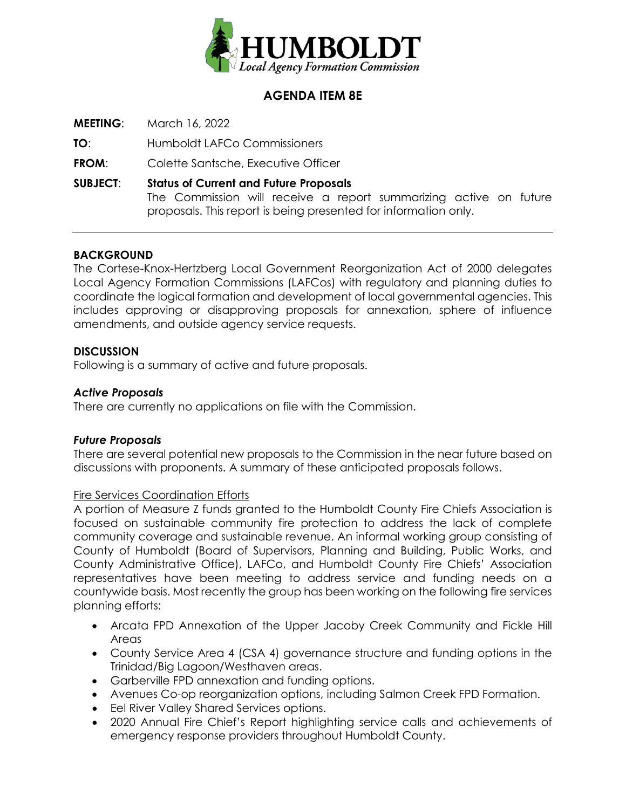

# **AGENDA ITEM 8E**

**MEETING**: March 16, 2022

**TO**: Humboldt LAFCo Commissioners

**FROM:** Colette Santsche, Executive Officer

**SUBJECT**: **Status of Current and Future Proposals** The Commission will receive a report summarizing active on future proposals. This report is being presented for information only.

## **BACKGROUND**

The Cortese-Knox-Hertzberg Local Government Reorganization Act of 2000 delegates Local Agency Formation Commissions (LAFCos) with regulatory and planning duties to coordinate the logical formation and development of local governmental agencies. This includes approving or disapproving proposals for annexation, sphere of influence amendments, and outside agency service requests.

## **DISCUSSION**

Following is a summary of active and future proposals.

### *Active Proposals*

There are currently no applications on file with the Commission.

#### *Future Proposals*

There are several potential new proposals to the Commission in the near future based on discussions with proponents. A summary of these anticipated proposals follows.

#### Fire Services Coordination Efforts

A portion of Measure Z funds granted to the Humboldt County Fire Chiefs Association is focused on sustainable community fire protection to address the lack of complete community coverage and sustainable revenue. An informal working group consisting of County of Humboldt (Board of Supervisors, Planning and Building, Public Works, and County Administrative Office), LAFCo, and Humboldt County Fire Chiefs' Association representatives have been meeting to address service and funding needs on a countywide basis. Most recently the group has been working on the following fire services planning efforts:

- Arcata FPD Annexation of the Upper Jacoby Creek Community and Fickle Hill Areas
- County Service Area 4 (CSA 4) governance structure and funding options in the Trinidad/Big Lagoon/Westhaven areas.
- Garberville FPD annexation and funding options.
- Avenues Co-op reorganization options, including Salmon Creek FPD Formation.
- Eel River Valley Shared Services options.
- 2020 Annual Fire Chief's Report highlighting service calls and achievements of emergency response providers throughout Humboldt County.